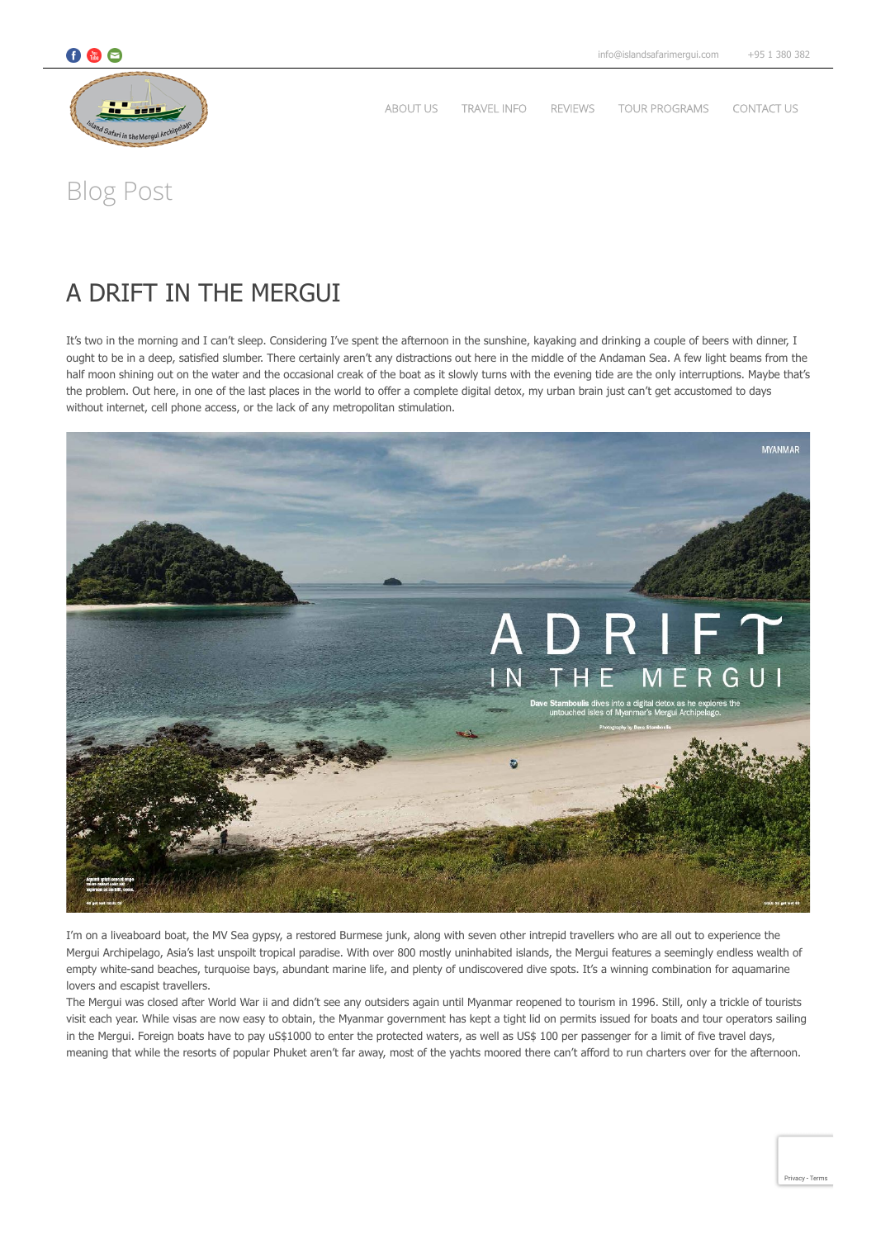

[ABOUT US](https://islandsafarimergui.com/about-us/) [TRAVEL INFO](https://islandsafarimergui.com/travel-information/) [REVIEWS](https://islandsafarimergui.com/reviews/) [TOUR PROGRAMS](https://islandsafarimergui.com/tour-programs/) [CONTACT US](https://islandsafarimergui.com/contact-us/)

Blog Post

# [A DRIFT IN THE MERGUI](https://islandsafarimergui.com/a-drift-in-the-mergui/)

It's two in the morning and I can't sleep. Considering I've spent the afternoon in the sunshine, kayaking and drinking a couple of beers with dinner, I ought to be in a deep, satisfied slumber. There certainly aren't any distractions out here in the middle of the Andaman Sea. A few light beams from the half moon shining out on the water and the occasional creak of the boat as it slowly turns with the evening tide are the only interruptions. Maybe that's the problem. Out here, in one of the last places in the world to offer a complete digital detox, my urban brain just can't get accustomed to days without internet, cell phone access, or the lack of any metropolitan stimulation.



I'm on a liveaboard boat, the MV Sea gypsy, a restored Burmese junk, along with seven other intrepid travellers who are all out to experience the Mergui Archipelago, Asia's last unspoilt tropical paradise. With over 800 mostly uninhabited islands, the Mergui features a seemingly endless wealth of empty white-sand beaches, turquoise bays, abundant marine life, and plenty of undiscovered dive spots. It's a winning combination for aquamarine lovers and escapist travellers.

The Mergui was closed after World War ii and didn't see any outsiders again until Myanmar reopened to tourism in 1996. Still, only a trickle of tourists visit each year. While visas are now easy to obtain, the Myanmar government has kept a tight lid on permits issued for boats and tour operators sailing in the Mergui. Foreign boats have to pay uS\$1000 to enter the protected waters, as well as US\$ 100 per passenger for a limit of five travel days, meaning that while the resorts of popular Phuket aren't far away, most of the yachts moored there can't afford to run charters over for the afternoon.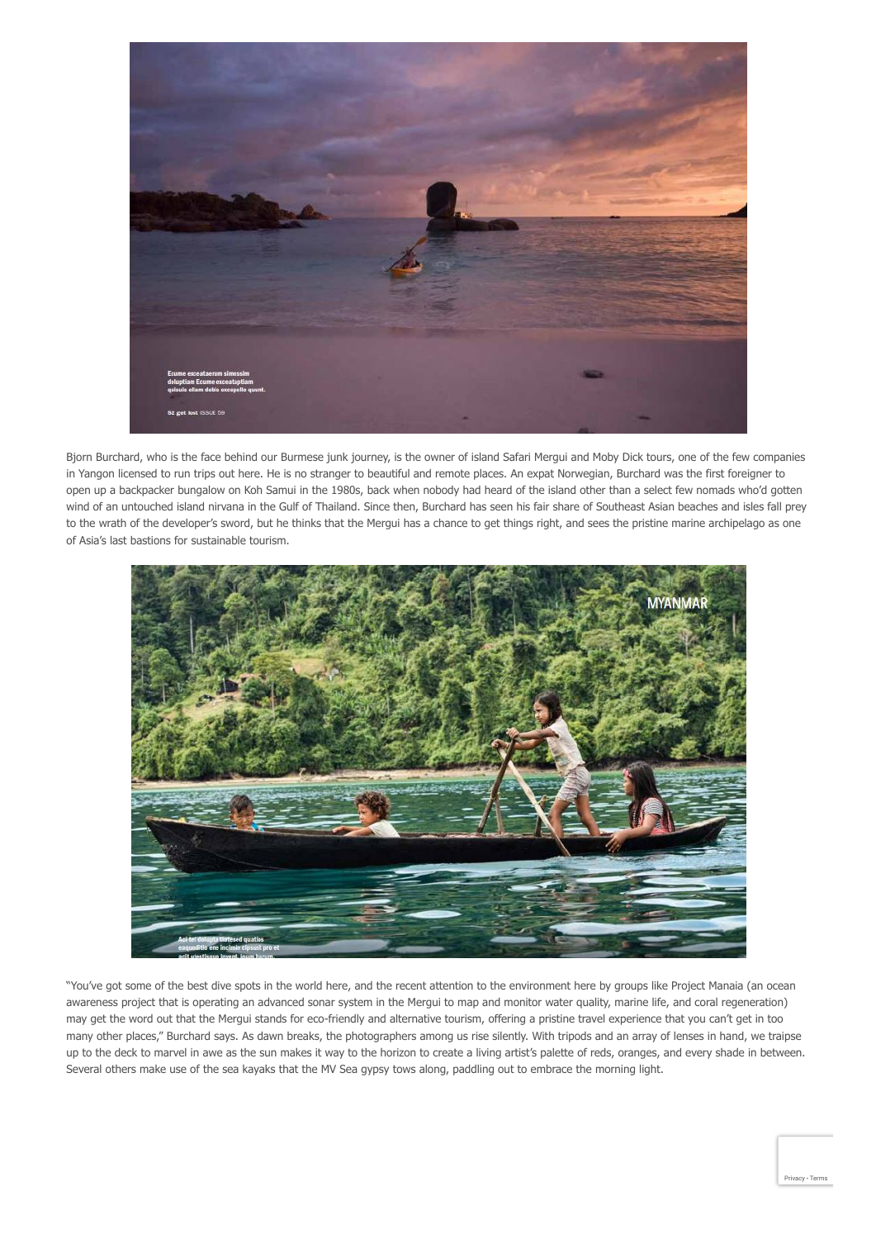

Bjorn Burchard, who is the face behind our Burmese junk journey, is the owner of island Safari Mergui and Moby Dick tours, one of the few companies in Yangon licensed to run trips out here. He is no stranger to beautiful and remote places. An expat Norwegian, Burchard was the first foreigner to open up a backpacker bungalow on Koh Samui in the 1980s, back when nobody had heard of the island other than a select few nomads who'd gotten wind of an untouched island nirvana in the Gulf of Thailand. Since then, Burchard has seen his fair share of Southeast Asian beaches and isles fall prey to the wrath of the developer's sword, but he thinks that the Mergui has a chance to get things right, and sees the pristine marine archipelago as one of Asia's last bastions for sustainable tourism.



"You've got some of the best dive spots in the world here, and the recent attention to the environment here by groups like Project Manaia (an ocean awareness project that is operating an advanced sonar system in the Mergui to map and monitor water quality, marine life, and coral regeneration) may get the word out that the Mergui stands for eco-friendly and alternative tourism, offering a pristine travel experience that you can't get in too many other places," Burchard says. As dawn breaks, the photographers among us rise silently. With tripods and an array of lenses in hand, we traipse up to the deck to marvel in awe as the sun makes it way to the horizon to create a living artist's palette of reds, oranges, and every shade in between. Several others make use of the sea kayaks that the MV Sea gypsy tows along, paddling out to embrace the morning light.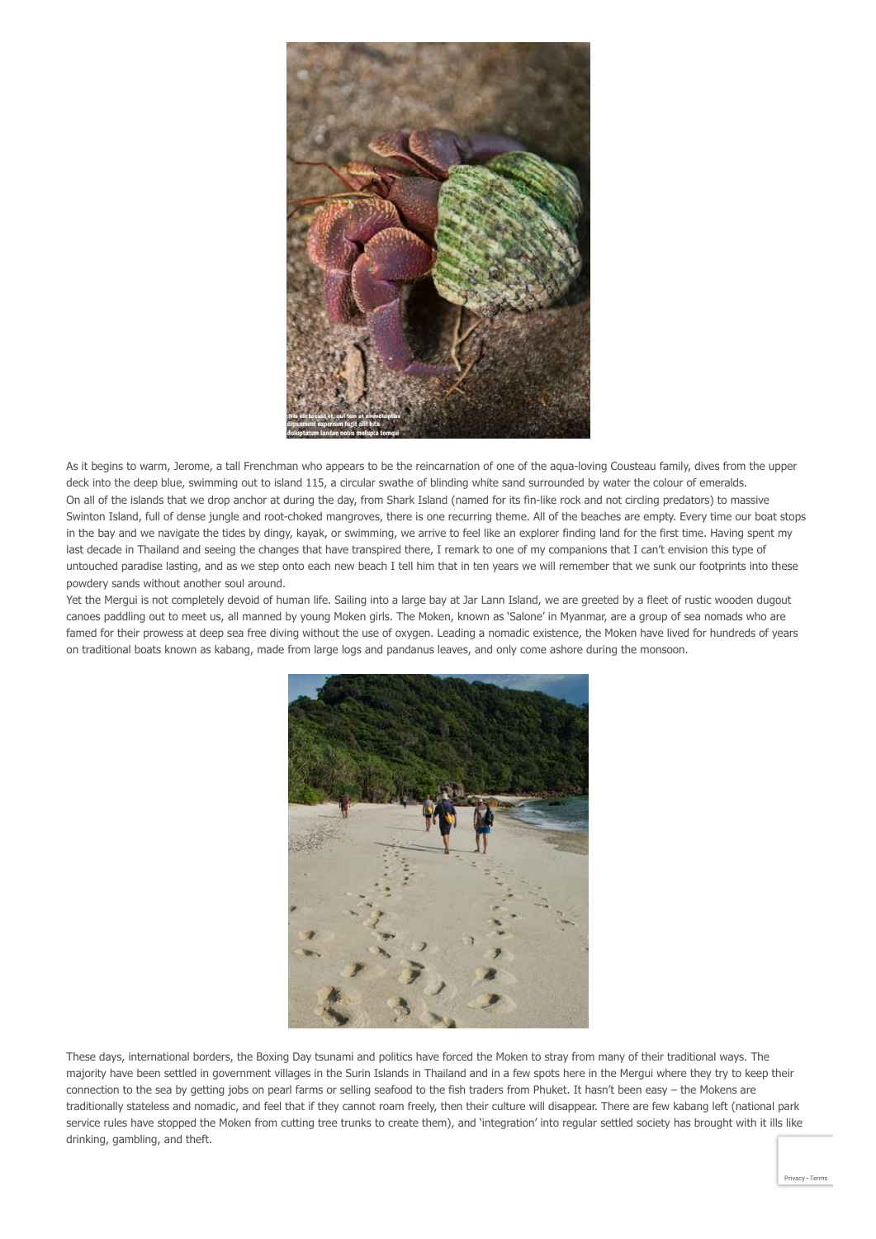

As it begins to warm, Jerome, a tall Frenchman who appears to be the reincarnation of one of the aqua-loving Cousteau family, dives from the upper deck into the deep blue, swimming out to island 115, a circular swathe of blinding white sand surrounded by water the colour of emeralds. On all of the islands that we drop anchor at during the day, from Shark Island (named for its fin-like rock and not circling predators) to massive Swinton Island, full of dense jungle and root-choked mangroves, there is one recurring theme. All of the beaches are empty. Every time our boat stops in the bay and we navigate the tides by dingy, kayak, or swimming, we arrive to feel like an explorer finding land for the first time. Having spent my last decade in Thailand and seeing the changes that have transpired there, I remark to one of my companions that I can't envision this type of untouched paradise lasting, and as we step onto each new beach I tell him that in ten years we will remember that we sunk our footprints into these powdery sands without another soul around.

Yet the Mergui is not completely devoid of human life. Sailing into a large bay at Jar Lann Island, we are greeted by a fleet of rustic wooden dugout canoes paddling out to meet us, all manned by young Moken girls. The Moken, known as 'Salone' in Myanmar, are a group of sea nomads who are famed for their prowess at deep sea free diving without the use of oxygen. Leading a nomadic existence, the Moken have lived for hundreds of years on traditional boats known as kabang, made from large logs and pandanus leaves, and only come ashore during the monsoon.



These days, international borders, the Boxing Day tsunami and politics have forced the Moken to stray from many of their traditional ways. The majority have been settled in government villages in the Surin Islands in Thailand and in a few spots here in the Mergui where they try to keep their connection to the sea by getting jobs on pearl farms or selling seafood to the fish traders from Phuket. It hasn't been easy – the Mokens are traditionally stateless and nomadic, and feel that if they cannot roam freely, then their culture will disappear. There are few kabang left (national park service rules have stopped the Moken from cutting tree trunks to create them), and 'integration' into regular settled society has brought with it ills like drinking, gambling, and theft.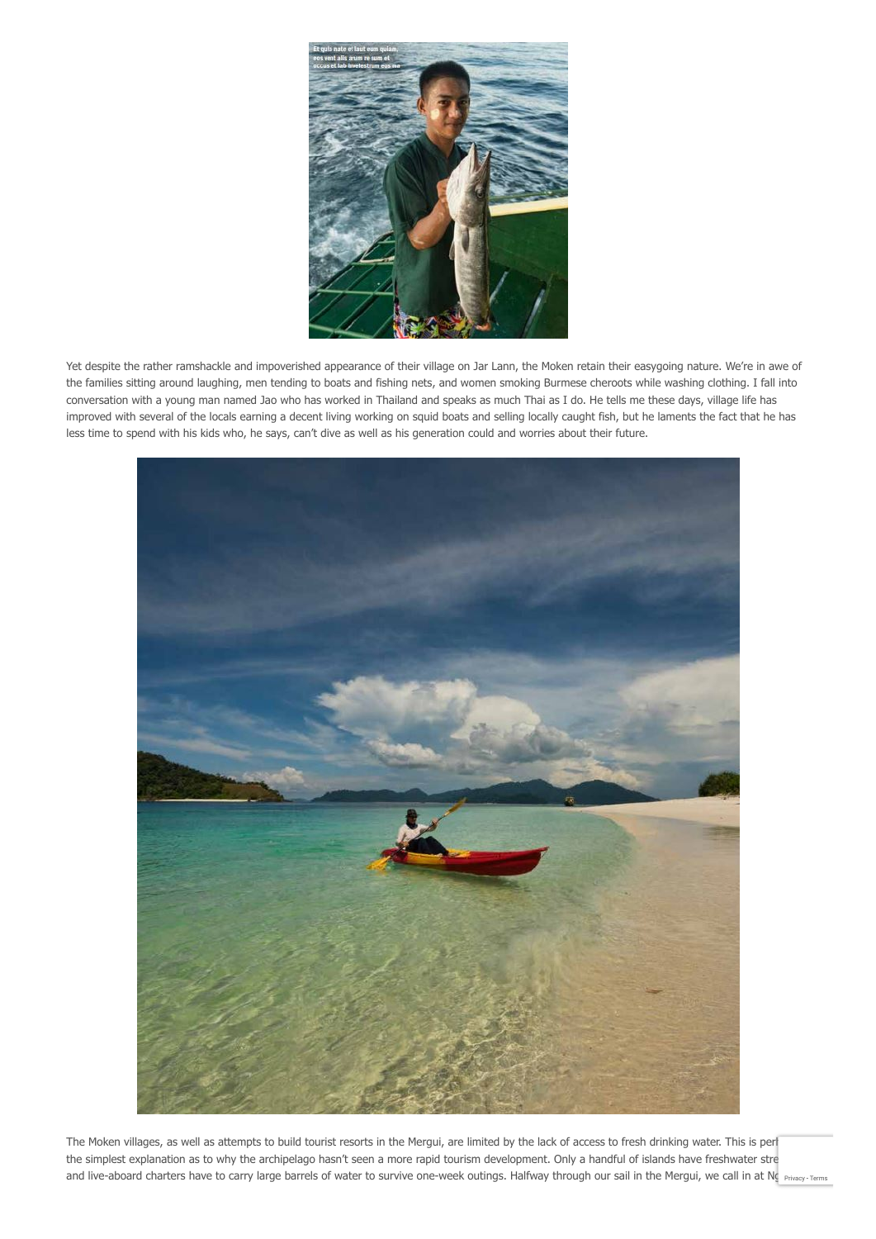

Yet despite the rather ramshackle and impoverished appearance of their village on Jar Lann, the Moken retain their easygoing nature. We're in awe of the families sitting around laughing, men tending to boats and fishing nets, and women smoking Burmese cheroots while washing clothing. I fall into conversation with a young man named Jao who has worked in Thailand and speaks as much Thai as I do. He tells me these days, village life has improved with several of the locals earning a decent living working on squid boats and selling locally caught fish, but he laments the fact that he has less time to spend with his kids who, he says, can't dive as well as his generation could and worries about their future.



The Moken villages, as well as attempts to build tourist resorts in the Mergui, are limited by the lack of access to fresh drinking water. This is per the simplest explanation as to why the archipelago hasn't seen a more rapid tourism development. Only a handful of islands have freshwater stre and live-aboard charters have to carry large barrels of water to survive one-week outings. Halfway through our sail in the Mergui, we call in at Ng [Privacy](https://www.google.com/intl/en/policies/privacy/) - [Terms](https://www.google.com/intl/en/policies/terms/)